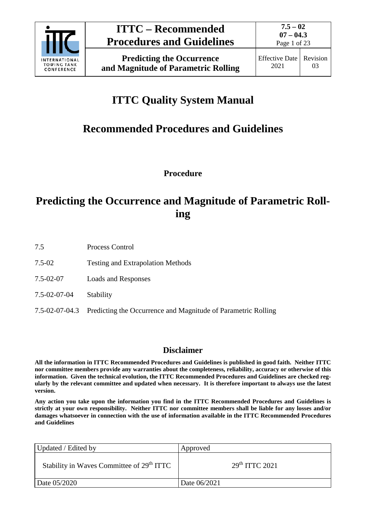

**Predicting the Occurrence and Magnitude of Parametric Rolling**

# **ITTC Quality System Manual**

# **Recommended Procedures and Guidelines**

**Procedure**

## **Predicting the Occurrence and Magnitude of Parametric Rolling**

- 7.5 Process Control
- 7.5-02 Testing and Extrapolation Methods
- 7.5-02-07 Loads and Responses
- 7.5-02-07-04 Stability
- 7.5-02-07-04.3 Predicting the Occurrence and Magnitude of Parametric Rolling

## **Disclaimer**

**All the information in ITTC Recommended Procedures and Guidelines is published in good faith. Neither ITTC nor committee members provide any warranties about the completeness, reliability, accuracy or otherwise of this information. Given the technical evolution, the ITTC Recommended Procedures and Guidelines are checked regularly by the relevant committee and updated when necessary. It is therefore important to always use the latest version.**

**Any action you take upon the information you find in the ITTC Recommended Procedures and Guidelines is strictly at your own responsibility. Neither ITTC nor committee members shall be liable for any losses and/or damages whatsoever in connection with the use of information available in the ITTC Recommended Procedures and Guidelines**

| Updated / Edited by                                   | Approved                   |
|-------------------------------------------------------|----------------------------|
| Stability in Waves Committee of 29 <sup>th</sup> ITTC | 29 <sup>th</sup> TTTC 2021 |
| Date 05/2020                                          | Date 06/2021               |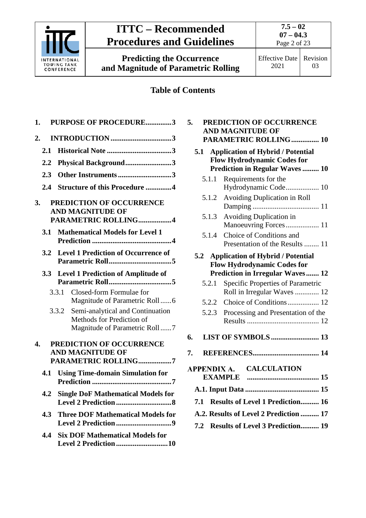

**Predicting the Occurrence and Magnitude of Parametric Rolling** **7.5 – 02**

Effective Date 2021 Revision 03

## **Table of Contents**

| 1.               |                                                  | PURPOSE OF PROCEDURE3                                                                                |  |  |  |  |
|------------------|--------------------------------------------------|------------------------------------------------------------------------------------------------------|--|--|--|--|
| $\overline{2}$ . |                                                  |                                                                                                      |  |  |  |  |
|                  | 2.1                                              |                                                                                                      |  |  |  |  |
|                  | 2.2                                              | Physical Background3                                                                                 |  |  |  |  |
|                  | 2.3                                              | Other Instruments3                                                                                   |  |  |  |  |
|                  | 2.4                                              | <b>Structure of this Procedure 4</b>                                                                 |  |  |  |  |
| 3.               |                                                  | PREDICTION OF OCCURRENCE<br><b>AND MAGNITUDE OF</b><br>PARAMETRIC ROLLING4                           |  |  |  |  |
|                  | 3.1                                              | <b>Mathematical Models for Level 1</b>                                                               |  |  |  |  |
|                  | 3.2                                              | <b>Level 1 Prediction of Occurrence of</b>                                                           |  |  |  |  |
|                  | 3.3<br><b>Level 1 Prediction of Amplitude of</b> |                                                                                                      |  |  |  |  |
|                  |                                                  | Closed-form Formulae for<br>3.3.1<br>Magnitude of Parametric Roll6                                   |  |  |  |  |
|                  |                                                  | 3.3.2 Semi-analytical and Continuation<br>Methods for Prediction of<br>Magnitude of Parametric Roll7 |  |  |  |  |
| 4.               |                                                  | PREDICTION OF OCCURRENCE<br><b>AND MAGNITUDE OF</b><br>PARAMETRIC ROLLING7                           |  |  |  |  |
|                  | 4.1                                              | <b>Using Time-domain Simulation for</b>                                                              |  |  |  |  |
|                  |                                                  | 4.2 Single DoF Mathematical Models for                                                               |  |  |  |  |
|                  | 4.3                                              | <b>Three DOF Mathematical Models for</b>                                                             |  |  |  |  |
|                  | 4.4                                              | <b>Six DOF Mathematical Models for</b><br>Level 2 Prediction 10                                      |  |  |  |  |

| 5.                                             |       | PREDICTION OF OCCURRENCE<br><b>AND MAGNITUDE OF</b>              |  |  |
|------------------------------------------------|-------|------------------------------------------------------------------|--|--|
|                                                |       | PARAMETRIC ROLLING 10                                            |  |  |
|                                                | 5.1   | <b>Application of Hybrid / Potential</b>                         |  |  |
|                                                |       | <b>Flow Hydrodynamic Codes for</b>                               |  |  |
|                                                | 5.1.1 | <b>Prediction in Regular Waves  10</b><br>Requirements for the   |  |  |
|                                                |       | Hydrodynamic Code 10                                             |  |  |
|                                                | 5.1.2 | Avoiding Duplication in Roll                                     |  |  |
|                                                |       |                                                                  |  |  |
|                                                | 5.1.3 | Avoiding Duplication in                                          |  |  |
|                                                |       | Manoeuvring Forces 11                                            |  |  |
|                                                | 5.1.4 | Choice of Conditions and<br>Presentation of the Results  11      |  |  |
|                                                |       | 5.2 Application of Hybrid / Potential                            |  |  |
|                                                |       | <b>Flow Hydrodynamic Codes for</b>                               |  |  |
|                                                |       | <b>Prediction in Irregular Waves 12</b>                          |  |  |
|                                                | 5.2.1 | Specific Properties of Parametric<br>Roll in Irregular Waves  12 |  |  |
|                                                | 5.2.2 | Choice of Conditions 12                                          |  |  |
|                                                | 5.2.3 | Processing and Presentation of the                               |  |  |
|                                                |       |                                                                  |  |  |
| 6.                                             |       | <b>LIST OF SYMBOLS  13</b>                                       |  |  |
| 7.                                             |       |                                                                  |  |  |
|                                                |       | APPENDIX A. CALCULATION                                          |  |  |
|                                                |       | <b>EXAMPLE</b>                                                   |  |  |
|                                                |       |                                                                  |  |  |
| <b>Results of Level 1 Prediction 16</b><br>7.1 |       |                                                                  |  |  |
| A.2. Results of Level 2 Prediction  17         |       |                                                                  |  |  |
| 7.2 Results of Level 3 Prediction 19           |       |                                                                  |  |  |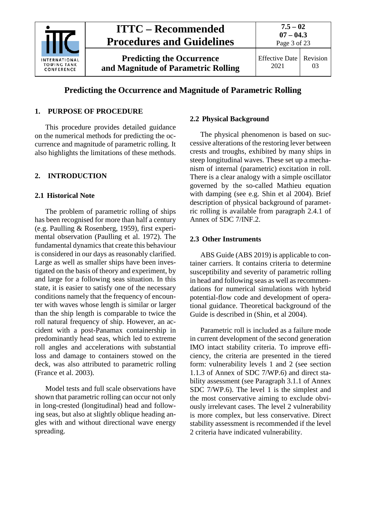

## **Predicting the Occurrence and Magnitude of Parametric Rolling**

## <span id="page-2-0"></span>**1. PURPOSE OF PROCEDURE**

This procedure provides detailed guidance on the numerical methods for predicting the occurrence and magnitude of parametric rolling. It also highlights the limitations of these methods.

## <span id="page-2-2"></span><span id="page-2-1"></span>**2. INTRODUCTION**

#### **2.1 Historical Note**

The problem of parametric rolling of ships has been recognised for more than half a century (e.g. Paulling & Rosenberg, 1959), first experimental observation (Paulling et al. 1972). The fundamental dynamics that create this behaviour is considered in our days as reasonably clarified. Large as well as smaller ships have been investigated on the basis of theory and experiment, by and large for a following seas situation. In this state, it is easier to satisfy one of the necessary conditions namely that the frequency of encounter with waves whose length is similar or larger than the ship length is comparable to twice the roll natural frequency of ship. However, an accident with a post-Panamax containership in predominantly head seas, which led to extreme roll angles and accelerations with substantial loss and damage to containers stowed on the deck, was also attributed to parametric rolling (France et al. 2003).

Model tests and full scale observations have shown that parametric rolling can occur not only in long-crested (longitudinal) head and following seas, but also at slightly oblique heading angles with and without directional wave energy spreading.

## <span id="page-2-3"></span>**2.2 Physical Background**

The physical phenomenon is based on successive alterations of the restoring lever between crests and troughs, exhibited by many ships in steep longitudinal waves. These set up a mechanism of internal (parametric) excitation in roll. There is a clear analogy with a simple oscillator governed by the so-called Mathieu equation with damping (see e.g. Shin et al 2004). Brief description of physical background of parametric rolling is available from paragraph 2.4.1 of Annex of SDC 7/INF.2.

#### <span id="page-2-4"></span>**2.3 Other Instruments**

ABS Guide (ABS 2019) is applicable to container carriers. It contains criteria to determine susceptibility and severity of parametric rolling in head and following seas as well as recommendations for numerical simulations with hybrid potential-flow code and development of operational guidance. Theoretical background of the Guide is described in (Shin, et al 2004).

Parametric roll is included as a failure mode in current development of the second generation IMO intact stability criteria. To improve efficiency, the criteria are presented in the tiered form: vulnerability levels 1 and 2 (see section 1.1.3 of Annex of SDC 7/WP.6) and direct stability assessment (see Paragraph 3.1.1 of Annex SDC 7/WP.6). The level 1 is the simplest and the most conservative aiming to exclude obviously irrelevant cases. The level 2 vulnerability is more complex, but less conservative. Direct stability assessment is recommended if the level 2 criteria have indicated vulnerability.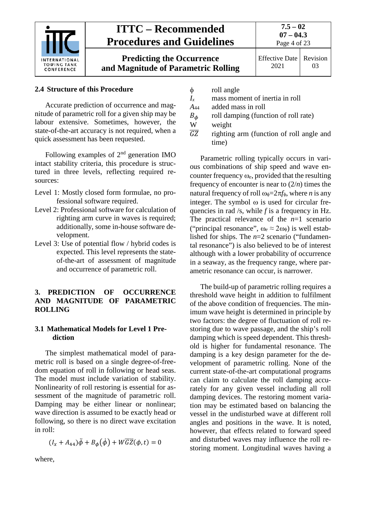

**Predicting the Occurrence and Magnitude of Parametric Rolling**

**7.5 – 02 07 – 04.3** Page 4 of 23

## <span id="page-3-0"></span>**2.4 Structure of this Procedure**

Accurate prediction of occurrence and magnitude of parametric roll for a given ship may be labour extensive. Sometimes, however, the state-of-the-art accuracy is not required, when a quick assessment has been requested.

Following examples of  $2<sup>nd</sup>$  generation IMO intact stability criteria, this procedure is structured in three levels, reflecting required resources:

- Level 1: Mostly closed form formulae, no professional software required.
- Level 2: Professional software for calculation of righting arm curve in waves is required; additionally, some in-house software development.
- Level 3: Use of potential flow / hybrid codes is expected. This level represents the stateof-the-art of assessment of magnitude and occurrence of parametric roll.

## <span id="page-3-1"></span>**3. PREDICTION OF OCCURRENCE AND MAGNITUDE OF PARAMETRIC ROLLING**

### <span id="page-3-2"></span>**3.1 Mathematical Models for Level 1 Prediction**

The simplest mathematical model of parametric roll is based on a single degree-of-freedom equation of roll in following or head seas. The model must include variation of stability. Nonlinearity of roll restoring is essential for assessment of the magnitude of parametric roll. Damping may be either linear or nonlinear; wave direction is assumed to be exactly head or following, so there is no direct wave excitation in roll:

$$
(I_x + A_{44})\ddot{\phi} + B_{\phi}(\dot{\phi}) + W\overline{GZ}(\phi, t) = 0
$$

where,

- 
- $\phi$  roll angle<br> $I_x$  mass mon mass moment of inertia in roll
- *A*<sup>44</sup> added mass in roll
- $B_{\phi}$  roll damping (function of roll rate)<br>W weight
- weight
- $\overline{GZ}$  righting arm (function of roll angle and time)

Parametric rolling typically occurs in various combinations of ship speed and wave encounter frequency ω*e*, provided that the resulting frequency of encounter is near to  $(2/n)$  times the natural frequency of roll  $\omega_{\phi} = 2\pi f_{\phi}$ , where *n* is any integer. The symbol  $\omega$  is used for circular frequencies in rad /s, while *f* is a frequency in Hz. The practical relevance of the *n*=1 scenario ("principal resonance",  $\omega_e \approx 2\omega_{\phi}$ ) is well established for ships. The *n*=2 scenario ("fundamental resonance") is also believed to be of interest although with a lower probability of occurrence in a seaway, as the frequency range, where parametric resonance can occur, is narrower.

The build-up of parametric rolling requires a threshold wave height in addition to fulfilment of the above condition of frequencies. The minimum wave height is determined in principle by two factors: the degree of fluctuation of roll restoring due to wave passage, and the ship's roll damping which is speed dependent. This threshold is higher for fundamental resonance. The damping is a key design parameter for the development of parametric rolling. None of the current state-of-the-art computational programs can claim to calculate the roll damping accurately for any given vessel including all roll damping devices. The restoring moment variation may be estimated based on balancing the vessel in the undisturbed wave at different roll angles and positions in the wave. It is noted, however, that effects related to forward speed and disturbed waves may influence the roll restoring moment. Longitudinal waves having a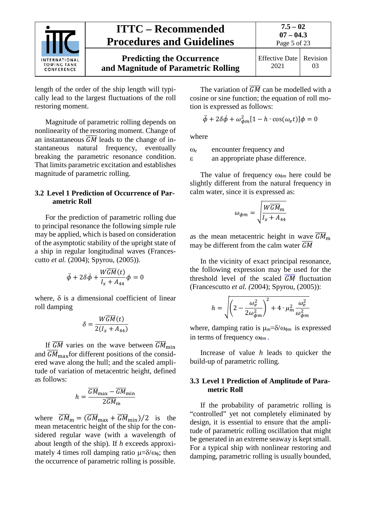

length of the order of the ship length will typically lead to the largest fluctuations of the roll restoring moment.

Magnitude of parametric rolling depends on nonlinearity of the restoring moment. Change of an instantaneous  $\overline{GM}$  leads to the change of instantaneous natural frequency, eventually breaking the parametric resonance condition. That limits parametric excitation and establishes magnitude of parametric rolling.

### <span id="page-4-0"></span>**3.2 Level 1 Prediction of Occurrence of Parametric Roll**

For the prediction of parametric rolling due to principal resonance the following simple rule may be applied, which is based on consideration of the asymptotic stability of the upright state of a ship in regular longitudinal waves (Francescutto *et al.* (2004); Spyrou, (2005)).

$$
\ddot{\phi}+2\delta\dot{\phi}+\frac{W\overline{GM}(t)}{I_x+A_{44}}\phi=0
$$

where,  $\delta$  is a dimensional coefficient of linear roll damping

$$
\delta = \frac{W\overline{GM}(t)}{2(I_x + A_{44})}
$$

If  $\overline{GM}$  varies on the wave between  $\overline{GM}_{\text{min}}$ and  $\overline{GM}_{\text{max}}$  for different positions of the considered wave along the hull; and the scaled amplitude of variation of metacentric height, defined as follows:

$$
h = \frac{\overline{GM}_{\text{max}} - \overline{GM}_{\text{min}}}{2\overline{GM}_{\text{m}}}
$$

where  $\overline{GM}_{\text{m}} = (\overline{GM}_{\text{max}} + \overline{GM}_{\text{min}})/2$  is the mean metacentric height of the ship for the considered regular wave (with a wavelength of about length of the ship). If *h* exceeds approximately 4 times roll damping ratio  $\mu = \delta/\omega_0$ ; then the occurrence of parametric rolling is possible.

The variation of  $\overline{GM}$  can be modelled with a cosine or sine function; the equation of roll motion is expressed as follows:

$$
\ddot{\phi} + 2\delta\dot{\phi} + \omega_{\phi m}^2[1 - h \cdot \cos(\omega_e t)]\phi = 0
$$

where

ω*<sup>e</sup>* encounter frequency and

ε an appropriate phase difference.

The value of frequency ωφ*<sup>m</sup>* here could be slightly different from the natural frequency in calm water, since it is expressed as:

$$
\omega_{\phi m} = \sqrt{\frac{W\overline{GM}_{\rm m}}{I_x + A_{44}}}
$$

as the mean metacentric height in wave  $\overline{GM}_{\text{m}}$ may be different from the calm water  $\overline{GM}$ 

In the vicinity of exact principal resonance, the following expression may be used for the threshold level of the scaled  $GM$  fluctuation (Francescutto *et al. (*2004); Spyrou, (2005)):

$$
h = \sqrt{\left(2 - \frac{\omega_e^2}{2\omega_{\phi m}^2}\right)^2 + 4 \cdot \mu_m^2 \frac{\omega_e^2}{\omega_{\phi m}^2}}
$$

where, damping ratio is  $\mu_m = \delta / \omega_{\phi m}$  is expressed in terms of frequency ωφ*<sup>m</sup>* .

Increase of value *h* leads to quicker the build-up of parametric rolling.

## <span id="page-4-1"></span>**3.3 Level 1 Prediction of Amplitude of Parametric Roll**

If the probability of parametric rolling is "controlled" yet not completely eliminated by design, it is essential to ensure that the amplitude of parametric rolling oscillation that might be generated in an extreme seaway is kept small. For a typical ship with nonlinear restoring and damping, parametric rolling is usually bounded,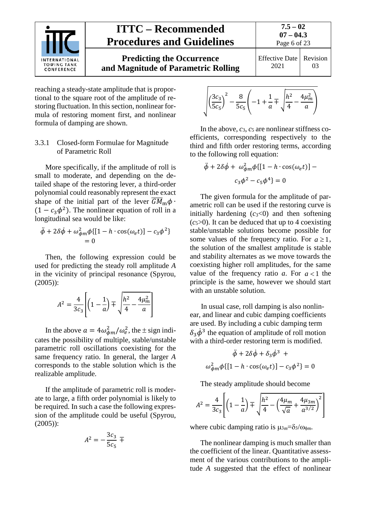

**Predicting the Occurrence and Magnitude of Parametric Rolling** Effective Date 2021 Revision 03

reaching a steady-state amplitude that is proportional to the square root of the amplitude of restoring fluctuation. In this section, nonlinear formula of restoring moment first, and nonlinear formula of damping are shown.

## <span id="page-5-0"></span>3.3.1 Closed-form Formulae for Magnitude of Parametric Roll

More specifically, if the amplitude of roll is small to moderate, and depending on the detailed shape of the restoring lever, a third-order polynomial could reasonably represent the exact shape of the initial part of the lever  $\overline{GM}_{\rm m}\phi$ .  $(1 - c_3 \phi^2)$ . The nonlinear equation of roll in a longitudinal sea would be like:

$$
\ddot{\phi} + 2\delta\dot{\phi} + \omega_{\phi m}^2 \phi \{ [1 - h \cdot \cos(\omega_e t)] - c_3 \phi^2 \}
$$
  
= 0

Then, the following expression could be used for predicting the steady roll amplitude *A* in the vicinity of principal resonance (Spyrou, (2005)):

$$
A^{2} = \frac{4}{3c_{3}} \left[ \left( 1 - \frac{1}{a} \right) \mp \sqrt{\frac{h^{2} - 4\mu_{m}^{2}}{4}} \right]
$$

In the above  $a = 4\omega_{\phi m}^2/\omega_e^2$ , the  $\pm$  sign indicates the possibility of multiple, stable/unstable parametric roll oscillations coexisting for the same frequency ratio. In general, the larger *A* corresponds to the stable solution which is the realizable amplitude.

If the amplitude of parametric roll is moderate to large, a fifth order polynomial is likely to be required. In such a case the following expression of the amplitude could be useful (Spyrou, (2005)):

$$
A^2 = -\frac{3c_3}{5c_5} \mp
$$

$$
\sqrt{\left(\frac{3c_3}{5c_5}\right)^2 - \frac{8}{5c_5}\left(-1 + \frac{1}{a} \mp \sqrt{\frac{h^2}{4} - \frac{4\mu_m^2}{a}}\right)}
$$

In the above,  $c_3$ ,  $c_5$  are nonlinear stiffness coefficients, corresponding respectively to the third and fifth order restoring terms, according to the following roll equation:

$$
\ddot{\phi} + 2\delta \dot{\phi} + \omega_{\phi m}^2 \phi \{ [1 - h \cdot \cos(\omega_e t)] - c_3 \phi^2 - c_5 \phi^4 \} = 0
$$

The given formula for the amplitude of parametric roll can be used if the restoring curve is initially hardening  $(c<sub>3</sub><0)$  and then softening  $(c_5>0)$ . It can be deduced that up to 4 coexisting stable/unstable solutions become possible for some values of the frequency ratio. For  $a \ge 1$ , the solution of the smallest amplitude is stable and stability alternates as we move towards the coexisting higher roll amplitudes, for the same value of the frequency ratio *a*. For  $a < 1$  the principle is the same, however we should start with an unstable solution.

In usual case, roll damping is also nonlinear, and linear and cubic damping coefficients are used. By including a cubic damping term  $\delta_3 \phi^3$  the equation of amplitude of roll motion with a third-order restoring term is modified.

$$
\ddot{\phi} + 2\delta\dot{\phi} + \delta_3\dot{\phi}^3 +
$$
  

$$
\omega_{\phi m}^2 \phi \{ [1 - h \cdot \cos(\omega_e t)] - c_3 \phi^2 \} = 0
$$

The steady amplitude should become

$$
A^{2} = \frac{4}{3c_{3}} \left[ \left( 1 - \frac{1}{a} \right) \mp \sqrt{\frac{h^{2}}{4} - \left( \frac{4\mu_{m}}{\sqrt{a}} + \frac{4\mu_{3m}}{a^{3/2}} \right)^{2}} \right]
$$

where cubic damping ratio is µ3*m*=δ3/ωφ*m*.

The nonlinear damping is much smaller than the coefficient of the linear. Quantitative assessment of the various contributions to the amplitude *A* suggested that the effect of nonlinear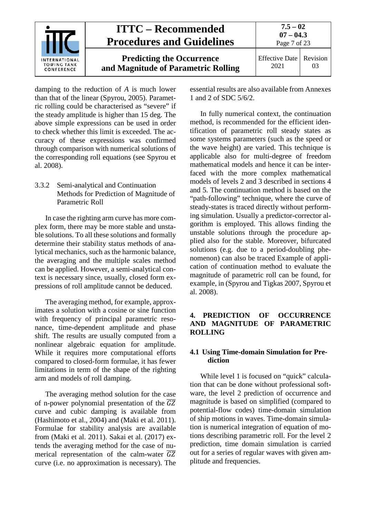

damping to the reduction of *A* is much lower than that of the linear (Spyrou, 2005). Parametric rolling could be characterised as "severe" if the steady amplitude is higher than 15 deg. The above simple expressions can be used in order to check whether this limit is exceeded. The accuracy of these expressions was confirmed through comparison with numerical solutions of the corresponding roll equations (see Spyrou et al. 2008).

## <span id="page-6-0"></span>3.3.2 Semi-analytical and Continuation Methods for Prediction of Magnitude of Parametric Roll

In case the righting arm curve has more complex form, there may be more stable and unstable solutions. To all these solutions and formally determine their stability status methods of analytical mechanics, such as the harmonic balance, the averaging and the multiple scales method can be applied. However, a semi-analytical context is necessary since, usually, closed form expressions of roll amplitude cannot be deduced.

The averaging method, for example, approximates a solution with a cosine or sine function with frequency of principal parametric resonance, time-dependent amplitude and phase shift. The results are usually computed from a nonlinear algebraic equation for amplitude. While it requires more computational efforts compared to closed-form formulae, it has fewer limitations in term of the shape of the righting arm and models of roll damping.

The averaging method solution for the case of n-power polynomial presentation of the  $\overline{GZ}$ curve and cubic damping is available from (Hashimoto et al., 2004) and (Maki et al. 2011). Formulae for stability analysis are available from (Maki et al. 2011). Sakai et al. (2017) extends the averaging method for the case of numerical representation of the calm-water  $\overline{GZ}$ curve (i.e. no approximation is necessary). The essential results are also available from Annexes 1 and 2 of SDC 5/6/2.

In fully numerical context, the continuation method, is recommended for the efficient identification of parametric roll steady states as some systems parameters (such as the speed or the wave height) are varied. This technique is applicable also for multi-degree of freedom mathematical models and hence it can be interfaced with the more complex mathematical models of levels 2 and 3 described in sections 4 and 5. The continuation method is based on the "path-following" technique, where the curve of steady-states is traced directly without performing simulation. Usually a predictor-corrector algorithm is employed. This allows finding the unstable solutions through the procedure applied also for the stable. Moreover, bifurcated solutions (e.g. due to a period-doubling phenomenon) can also be traced Example of application of continuation method to evaluate the magnitude of parametric roll can be found, for example, in (Spyrou and Tigkas 2007, Spyrou et al. 2008).

## <span id="page-6-1"></span>**4. PREDICTION OF OCCURRENCE AND MAGNITUDE OF PARAMETRIC ROLLING**

## <span id="page-6-2"></span>**4.1 Using Time-domain Simulation for Prediction**

While level 1 is focused on "quick" calculation that can be done without professional software, the level 2 prediction of occurrence and magnitude is based on simplified (compared to potential-flow codes) time-domain simulation of ship motions in waves. Time-domain simulation is numerical integration of equation of motions describing parametric roll. For the level 2 prediction, time domain simulation is carried out for a series of regular waves with given amplitude and frequencies.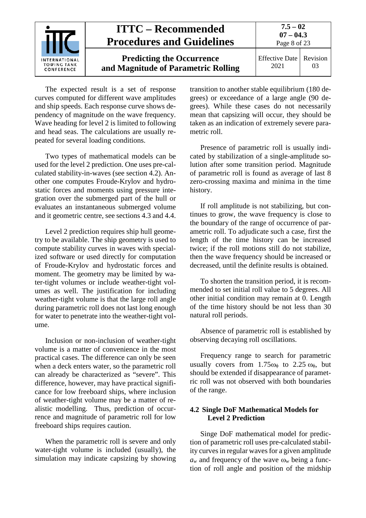

The expected result is a set of response curves computed for different wave amplitudes and ship speeds. Each response curve shows dependency of magnitude on the wave frequency. Wave heading for level 2 is limited to following and head seas. The calculations are usually repeated for several loading conditions.

Two types of mathematical models can be used for the level 2 prediction. One uses pre-calculated stability-in-waves (see section [4.2\)](#page-7-0). Another one computes Froude-Krylov and hydrostatic forces and moments using pressure integration over the submerged part of the hull or evaluates an instantaneous submerged volume and it geometric centre, see sections [4.3](#page-8-0) and [4.4.](#page-9-0)

Level 2 prediction requires ship hull geometry to be available. The ship geometry is used to compute stability curves in waves with specialized software or used directly for computation of Froude-Krylov and hydrostatic forces and moment. The geometry may be limited by water-tight volumes or include weather-tight volumes as well. The justification for including weather-tight volume is that the large roll angle during parametric roll does not last long enough for water to penetrate into the weather-tight volume.

Inclusion or non-inclusion of weather-tight volume is a matter of convenience in the most practical cases. The difference can only be seen when a deck enters water, so the parametric roll can already be characterized as "severe". This difference, however, may have practical significance for low freeboard ships, where inclusion of weather-tight volume may be a matter of realistic modelling. Thus, prediction of occurrence and magnitude of parametric roll for low freeboard ships requires caution.

When the parametric roll is severe and only water-tight volume is included (usually), the simulation may indicate capsizing by showing

transition to another stable equilibrium (180 degrees) or exceedance of a large angle (90 degrees). While these cases do not necessarily mean that capsizing will occur, they should be taken as an indication of extremely severe parametric roll.

Presence of parametric roll is usually indicated by stabilization of a single-amplitude solution after some transition period. Magnitude of parametric roll is found as average of last 8 zero-crossing maxima and minima in the time history.

If roll amplitude is not stabilizing, but continues to grow, the wave frequency is close to the boundary of the range of occurrence of parametric roll. To adjudicate such a case, first the length of the time history can be increased twice; if the roll motions still do not stabilize, then the wave frequency should be increased or decreased, until the definite results is obtained.

To shorten the transition period, it is recommended to set initial roll value to 5 degrees. All other initial condition may remain at 0. Length of the time history should be not less than 30 natural roll periods.

Absence of parametric roll is established by observing decaying roll oscillations.

Frequency range to search for parametric usually covers from  $1.75\omega_{\phi}$  to  $2.25\omega_{\phi}$ , but should be extended if disappearance of parametric roll was not observed with both boundaries of the range.

## <span id="page-7-0"></span>**4.2 Single DoF Mathematical Models for Level 2 Prediction**

Singe DoF mathematical model for prediction of parametric roll uses pre-calculated stability curves in regular waves for a given amplitude  $a_w$  and frequency of the wave  $\omega_w$  being a function of roll angle and position of the midship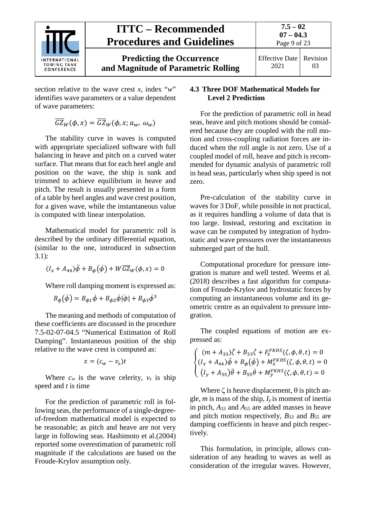

section relative to the wave crest *x,* index "*w*" identifies wave parameters or a value dependent of wave parameters:

$$
\overline{GZ}_W(\phi, x) = \overline{GZ}_W(\phi, x; a_w, \omega_w)
$$

The stability curve in waves is computed with appropriate specialized software with full balancing in heave and pitch on a curved water surface. That means that for each heel angle and position on the wave, the ship is sunk and trimmed to achieve equilibrium in heave and pitch. The result is usually presented in a form of a table by heel angles and wave crest position, for a given wave, while the instantaneous value is computed with linear interpolation.

Mathematical model for parametric roll is described by the ordinary differential equation, (similar to the one, introduced in subsection 3.1):

$$
(I_x + A_{44})\ddot{\phi} + B_{\phi}(\dot{\phi}) + W\overline{GZ}_W(\phi, x) = 0
$$

Where roll damping moment is expressed as:

$$
B_{\phi}(\dot{\phi}) = B_{\phi 1}\dot{\phi} + B_{\phi 2}\dot{\phi}|\dot{\phi}| + B_{\phi 3}\dot{\phi}^{3}
$$

The meaning and methods of computation of these coefficients are discussed in the procedure 7.5-02-07-04.5 "Numerical Estimation of Roll Damping". Instantaneous position of the ship relative to the wave crest is computed as:

$$
x=(c_w-v_s)t
$$

Where  $c_w$  is the wave celerity,  $v_s$  is ship speed and *t* is time

For the prediction of parametric roll in following seas, the performance of a single-degreeof-freedom mathematical model is expected to be reasonable; as pitch and heave are not very large in following seas. Hashimoto et al.(2004) reported some overestimation of parametric roll magnitude if the calculations are based on the Froude-Krylov assumption only.

## <span id="page-8-0"></span>**4.3 Three DOF Mathematical Models for Level 2 Prediction**

For the prediction of parametric roll in head seas, heave and pitch motions should be considered because they are coupled with the roll motion and cross-coupling radiation forces are induced when the roll angle is not zero. Use of a coupled model of roll, heave and pitch is recommended for dynamic analysis of parametric roll in head seas, particularly when ship speed is not zero.

Pre-calculation of the stability curve in waves for 3 DoF, while possible in not practical, as it requires handling a volume of data that is too large. Instead, restoring and excitation in wave can be computed by integration of hydrostatic and wave pressures over the instantaneous submerged part of the hull.

Computational procedure for pressure integration is mature and well tested. Weems et al. (2018) describes a fast algorithm for computation of Froude-Krylov and hydrostatic forces by computing an instantaneous volume and its geometric centre as an equivalent to pressure integration.

The coupled equations of motion are expressed as:

$$
\begin{cases} (m + A_{33})\ddot{\zeta} + B_{33}\dot{\zeta} + F_z^{FKHS}(\zeta, \phi, \theta, t) = 0 \\ (I_x + A_{44})\ddot{\phi} + B_{\phi}(\dot{\phi}) + M_x^{FKHS}(\zeta, \phi, \theta, t) = 0 \\ (I_y + A_{55})\ddot{\theta} + B_{55}\dot{\theta} + M_y^{FKHS}(\zeta, \phi, \theta, t) = 0 \end{cases}
$$

Where  $\zeta$  is heave displacement,  $\theta$  is pitch angle, *m* is mass of the ship, *Iy* is moment of inertia in pitch, *A*<sup>33</sup> and *A*<sup>55</sup> are added masses in heave and pitch motion respectively, *B*<sup>33</sup> and *B*<sup>55</sup> are damping coefficients in heave and pitch respectively.

This formulation, in principle, allows consideration of any heading to waves as well as consideration of the irregular waves. However,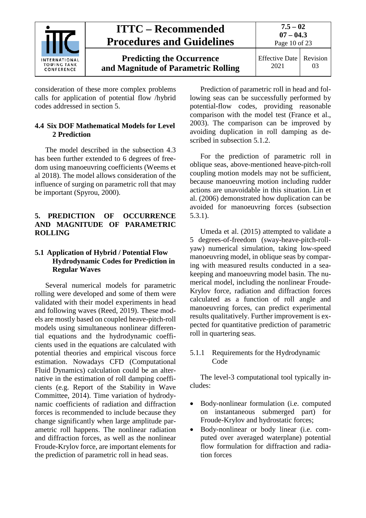

consideration of these more complex problems calls for application of potential flow /hybrid codes addressed in section [5.](#page-9-1)

## <span id="page-9-0"></span>**4.4 Six DOF Mathematical Models for Level 2 Prediction**

The model described in the subsection [4.3](#page-8-0) has been further extended to 6 degrees of freedom using manoeuvring coefficients (Weems et al 2018). The model allows consideration of the influence of surging on parametric roll that may be important (Spyrou, 2000).

## <span id="page-9-1"></span>**5. PREDICTION OF OCCURRENCE AND MAGNITUDE OF PARAMETRIC ROLLING**

## <span id="page-9-2"></span>**5.1 Application of Hybrid / Potential Flow Hydrodynamic Codes for Prediction in Regular Waves**

Several numerical models for parametric rolling were developed and some of them were validated with their model experiments in head and following waves (Reed, 2019). These models are mostly based on coupled heave-pitch-roll models using simultaneous nonlinear differential equations and the hydrodynamic coefficients used in the equations are calculated with potential theories and empirical viscous force estimation. Nowadays CFD (Computational Fluid Dynamics) calculation could be an alternative in the estimation of roll damping coefficients (e.g. Report of the Stability in Wave Committee, 2014). Time variation of hydrodynamic coefficients of radiation and diffraction forces is recommended to include because they change significantly when large amplitude parametric roll happens. The nonlinear radiation and diffraction forces, as well as the nonlinear Froude-Krylov force, are important elements for the prediction of parametric roll in head seas.

Prediction of parametric roll in head and following seas can be successfully performed by potential-flow codes, providing reasonable comparison with the model test (France et al., 2003). The comparison can be improved by avoiding duplication in roll damping as described in subsection 5.1.2.

For the prediction of parametric roll in oblique seas, above-mentioned heave-pitch-roll coupling motion models may not be sufficient, because manoeuvring motion including rudder actions are unavoidable in this situation. Lin et al. (2006) demonstrated how duplication can be avoided for manoeuvring forces (subsection 5.3.1).

Umeda et al. (2015) attempted to validate a 5 degrees-of-freedom (sway-heave-pitch-rollyaw) numerical simulation, taking low-speed manoeuvring model, in oblique seas by comparing with measured results conducted in a seakeeping and manoeuvring model basin. The numerical model, including the nonlinear Froude-Krylov force, radiation and diffraction forces calculated as a function of roll angle and manoeuvring forces, can predict experimental results qualitatively. Further improvement is expected for quantitative prediction of parametric roll in quartering seas.

## <span id="page-9-3"></span>5.1.1 Requirements for the Hydrodynamic Code

The level-3 computational tool typically includes:

- Body-nonlinear formulation (i.e. computed on instantaneous submerged part) for Froude-Krylov and hydrostatic forces;
- Body-nonlinear or body linear (i.e. computed over averaged waterplane) potential flow formulation for diffraction and radiation forces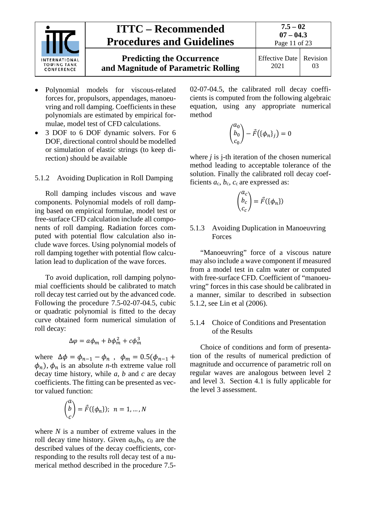

- Polynomial models for viscous-related forces for, propulsors, appendages, manoeuvring and roll damping. Coefficients in these polynomials are estimated by empirical formulae, model test of CFD calculations.
- 3 DOF to 6 DOF dynamic solvers. For 6 DOF, directional control should be modelled or simulation of elastic strings (to keep direction) should be available

<span id="page-10-0"></span>5.1.2 Avoiding Duplication in Roll Damping

Roll damping includes viscous and wave components. Polynomial models of roll damping based on empirical formulae, model test or free-surface CFD calculation include all components of roll damping. Radiation forces computed with potential flow calculation also include wave forces. Using polynomial models of roll damping together with potential flow calculation lead to duplication of the wave forces.

To avoid duplication, roll damping polynomial coefficients should be calibrated to match roll decay test carried out by the advanced code. Following the procedure 7.5-02-07-04.5, cubic or quadratic polynomial is fitted to the decay curve obtained form numerical simulation of roll decay:

$$
\Delta \varphi = a\phi_m + b\phi_m^2 + c\phi_m^3
$$

where  $\Delta \phi = \phi_{n-1} - \phi_n$ ,  $\phi_m = 0.5(\phi_{n-1} +$  $\phi_n$ ),  $\phi_n$  is an absolute *n*-th extreme value roll decay time history, while *a*, *b* and *c* are decay coefficients. The fitting can be presented as vector valued function:

$$
\binom{a}{c} = \vec{F}(\{\phi_n\}); \ \ n = 1, \dots, N
$$

where *N* is a number of extreme values in the roll decay time history. Given *a*0,*b*0, *c*<sup>0</sup> are the described values of the decay coefficients, corresponding to the results roll decay test of a numerical method described in the procedure 7.502-07-04.5, the calibrated roll decay coefficients is computed from the following algebraic equation, using any appropriate numerical method

$$
\begin{pmatrix} a_0 \\ b_0 \\ c_0 \end{pmatrix} - \vec{F}(\{\phi_n\}_j) = 0
$$

where *j* is *j*-th iteration of the chosen numerical method leading to acceptable tolerance of the solution. Finally the calibrated roll decay coefficients  $a_c$ ,  $b_c$ ,  $c_c$  are expressed as:

$$
\begin{pmatrix} a_c \\ b_c \\ c_c \end{pmatrix} = \vec{F}(\{\phi_n\})
$$

#### <span id="page-10-1"></span>5.1.3 Avoiding Duplication in Manoeuvring Forces

"Manoeuvring" force of a viscous nature may also include a wave component if measured from a model test in calm water or computed with free-surface CFD. Coefficient of "manoeuvring" forces in this case should be calibrated in a manner, similar to described in subsection [5.1.2,](#page-10-0) see Lin et al (2006).

### <span id="page-10-2"></span>5.1.4 Choice of Conditions and Presentation of the Results

Choice of conditions and form of presentation of the results of numerical prediction of magnitude and occurrence of parametric roll on regular waves are analogous between level 2 and level 3. Section [4.1](#page-6-2) is fully applicable for the level 3 assessment.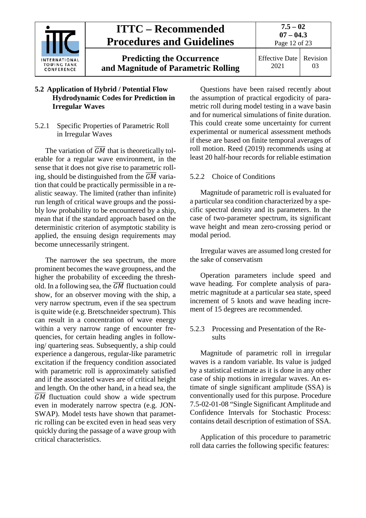

## <span id="page-11-0"></span>**5.2 Application of Hybrid / Potential Flow Hydrodynamic Codes for Prediction in Irregular Waves**

## <span id="page-11-1"></span>5.2.1 Specific Properties of Parametric Roll in Irregular Waves

The variation of  $\overline{GM}$  that is theoretically tolerable for a regular wave environment, in the sense that it does not give rise to parametric rolling, should be distinguished from the  $\overline{GM}$  variation that could be practically permissible in a realistic seaway. The limited (rather than infinite) run length of critical wave groups and the possibly low probability to be encountered by a ship, mean that if the standard approach based on the deterministic criterion of asymptotic stability is applied, the ensuing design requirements may become unnecessarily stringent.

The narrower the sea spectrum, the more prominent becomes the wave groupness, and the higher the probability of exceeding the threshold. In a following sea, the  $\overline{GM}$  fluctuation could show, for an observer moving with the ship, a very narrow spectrum, even if the sea spectrum is quite wide (e.g. Bretschneider spectrum). This can result in a concentration of wave energy within a very narrow range of encounter frequencies, for certain heading angles in following/ quartering seas. Subsequently, a ship could experience a dangerous, regular-like parametric excitation if the frequency condition associated with parametric roll is approximately satisfied and if the associated waves are of critical height and length. On the other hand, in a head sea, the  $\overline{GM}$  fluctuation could show a wide spectrum even in moderately narrow spectra (e.g. JON-SWAP). Model tests have shown that parametric rolling can be excited even in head seas very quickly during the passage of a wave group with critical characteristics.

Questions have been raised recently about the assumption of practical ergodicity of parametric roll during model testing in a wave basin and for numerical simulations of finite duration. This could create some uncertainty for current experimental or numerical assessment methods if these are based on finite temporal averages of roll motion. Reed (2019) recommends using at least 20 half-hour records for reliable estimation

### <span id="page-11-2"></span>5.2.2 Choice of Conditions

Magnitude of parametric roll is evaluated for a particular sea condition characterized by a specific spectral density and its parameters. In the case of two-parameter spectrum, its significant wave height and mean zero-crossing period or modal period.

Irregular waves are assumed long crested for the sake of conservatism

Operation parameters include speed and wave heading. For complete analysis of parametric magnitude at a particular sea state, speed increment of 5 knots and wave heading increment of 15 degrees are recommended.

## <span id="page-11-3"></span>5.2.3 Processing and Presentation of the Results

Magnitude of parametric roll in irregular waves is a random variable. Its value is judged by a statistical estimate as it is done in any other case of ship motions in irregular waves. An estimate of single significant amplitude (SSA) is conventionally used for this purpose. Procedure 7.5-02-01-08 "Single Significant Amplitude and Confidence Intervals for Stochastic Process: contains detail description of estimation of SSA.

Application of this procedure to parametric roll data carries the following specific features: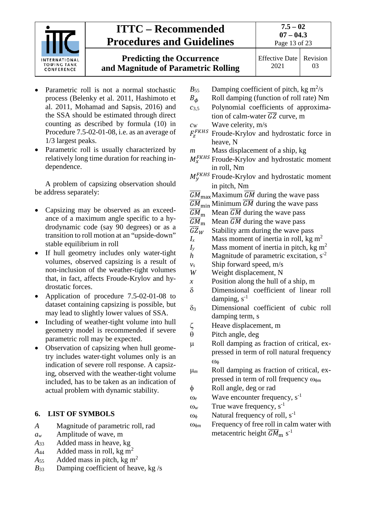

**Predicting the Occurrence and Magnitude of Parametric Rolling**

- Parametric roll is not a normal stochastic process (Belenky et al. 2011, Hashimoto et al. 2011, Mohamad and Sapsis, 2016) and the SSA should be estimated through direct counting as described by formula (10) in Procedure 7.5-02-01-08, i.e. as an average of 1/3 largest peaks.
- Parametric roll is usually characterized by relatively long time duration for reaching independence.

A problem of capsizing observation should be address separately:

- Capsizing may be observed as an exceedance of a maximum angle specific to a hydrodynamic code (say 90 degrees) or as a transition to roll motion at an "upside-down" stable equilibrium in roll
- If hull geometry includes only water-tight volumes, observed capsizing is a result of non-inclusion of the weather-tight volumes that, in fact, affects Froude-Krylov and hydrostatic forces.
- Application of procedure 7.5-02-01-08 to dataset containing capsizing is possible, but may lead to slightly lower values of SSA.
- Including of weather-tight volume into hull geometry model is recommended if severe parametric roll may be expected.
- Observation of capsizing when hull geometry includes water-tight volumes only is an indication of severe roll response. A capsizing, observed with the weather-tight volume included, has to be taken as an indication of actual problem with dynamic stability.

## <span id="page-12-0"></span>**6. LIST OF SYMBOLS**

- *A* Magnitude of parametric roll, rad
- *aw* Amplitude of wave, m
- *A*<sup>33</sup> Added mass in heave, kg
- $A_{44}$  Added mass in roll, kg m<sup>2</sup>
- $A_{55}$  Added mass in pitch, kg m<sup>2</sup>
- *B*<sup>33</sup> Damping coefficient of heave, kg /s
- $B_{55}$  Damping coefficient of pitch, kg m<sup>2</sup>/s
- $B_{\phi}$  Roll damping (function of roll rate) Nm<br>  $c_{3.5}$  Polynomial coefficients of approxima-
- Polynomial coefficients of approximation of calm-water  $\overline{GZ}$  curve, m
- *cW* Wave celerity, m/s
- $F_{z}^{FRHS}$  Froude-Krylov and hydrostatic force in heave, N
- *m* Mass displacement of a ship, kg
- $K_{\mathbf{x}}^{FRHS}$  Froude-Krylov and hydrostatic moment in roll, Nm
- $y^{\text{FKHS}}$  Froude-Krylov and hydrostatic moment in pitch, Nm
- $\overline{GM}_{\text{max}}$ Maximum  $\overline{GM}$  during the wave pass
- $\underline{GM}_{\text{min}}$  Minimum GM during the wave pass
- $GM<sub>m</sub>$  Mean  $\overline{GM}$  during the wave pass
- $\frac{\overline{GM}_{\rm m}}{\overline{GZ}_{W}}$ Mean  $\overline{GM}$  during the wave pass
- $\overline{GZ}_W$  Stability arm during the wave pass<br> $I_x$  Mass moment of inertia in roll, kg
- Mass moment of inertia in roll, kg  $m<sup>2</sup>$
- $I<sub>y</sub>$  Mass moment of inertia in pitch, kg m<sup>2</sup>
- *h* Magnitude of parametric excitation,  $s<sup>2</sup>$
- *vs* Ship forward speed, m/s
- *W* Weight displacement, N
- *x* Position along the hull of a ship, m
- δ Dimensional coefficient of linear roll damping,  $s^{-1}$
- δ<sup>3</sup> Dimensional coefficient of cubic roll damping term, s
- ζ Heave displacement, m
- $\theta$  Pitch angle, deg
- µ Roll damping as fraction of critical, expressed in term of roll natural frequency ωφ
- µ*<sup>m</sup>* Roll damping as fraction of critical, expressed in term of roll frequency ωφ*<sup>m</sup>*
- φ Roll angle, deg or rad
- $\omega_e$  Wave encounter frequency,  $s^{-1}$
- $\omega_w$  True wave frequency, s<sup>-1</sup>
- $\omega_{\phi}$  Natural frequency of roll, s<sup>-1</sup>
- ωφ*<sup>m</sup>* Frequency of free roll in calm water with metacentric height  $\overline{GM}_{\rm m}$  s<sup>-1</sup>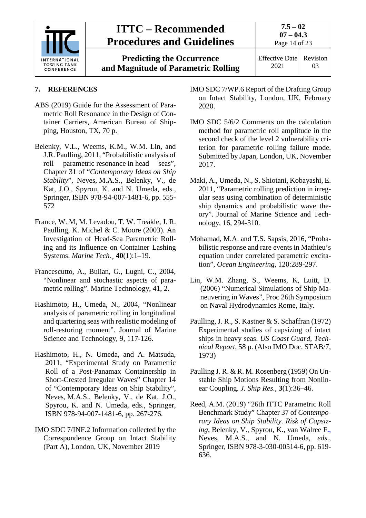

**Predicting the Occurrence and Magnitude of Parametric Rolling** **7.5 – 02**

Effective Date 2021 Revision 03

## <span id="page-13-0"></span>**7. REFERENCES**

- ABS (2019) Guide for the Assessment of Parametric Roll Resonance in the Design of Container Carriers, American Bureau of Shipping, Houston, TX, 70 p.
- Belenky, V.L., Weems, K.M., W.M. Lin, and J.R. Paulling, 2011, "Probabilistic analysis of roll parametric resonance in head seas", Chapter 31 of "*Contemporary Ideas on Ship Stability*", Neves, M.A.S., Belenky, V., de Kat, J.O., Spyrou, K. and N. Umeda, eds., Springer, ISBN 978-94-007-1481-6, pp. 555- 572
- France, W. M, M. Levadou, T. W. Treakle, J. R. Paulling, K. Michel & C. Moore (2003). An Investigation of Head-Sea Parametric Rolling and its Influence on Container Lashing Systems. *Marine Tech.¸* **40**(1):1–19.
- Francescutto, A., Bulian, G., Lugni, C., 2004, "Nonlinear and stochastic aspects of parametric rolling". Marine Technology, 41, 2.
- Hashimoto, H., Umeda, N., 2004, "Nonlinear analysis of parametric rolling in longitudinal and quartering seas with realistic modeling of roll-restoring moment". Journal of Marine Science and Technology, 9, 117-126.
- Hashimoto, H., N. Umeda, and A. Matsuda, 2011, "Experimental Study on Parametric Roll of a Post-Panamax Containership in Short-Crested Irregular Waves" Chapter 14 of "Contemporary Ideas on Ship Stability", Neves, M.A.S., Belenky, V., de Kat, J.O., Spyrou, K. and N. Umeda, eds., Springer, ISBN 978-94-007-1481-6, pp. 267-276.
- IMO SDC 7/INF.2 Information collected by the Correspondence Group on Intact Stability (Part A), London, UK, November 2019
- IMO SDC 7/WP.6 Report of the Drafting Group on Intact Stability, London, UK, February 2020.
- IMO SDC 5/6/2 Comments on the calculation method for parametric roll amplitude in the second check of the level 2 vulnerability criterion for parametric rolling failure mode. Submitted by Japan, London, UK, November 2017.
- Maki, A., Umeda, N., S. Shiotani, Kobayashi, E. 2011, "Parametric rolling prediction in irregular seas using combination of deterministic ship dynamics and probabilistic wave theory". Journal of Marine Science and Technology, 16, 294-310.
- Mohamad, M.A. and T.S. Sapsis, 2016, "Probabilistic response and rare events in Mathieu's equation under correlated parametric excitation", *Ocean Engineering*, 120:289-297.
- Lin, W.M. Zhang, S., Weems, K, Luitt, D. (2006) "Numerical Simulations of Ship Maneuvering in Waves", Proc 26th Symposium on Naval Hydrodynamics Rome, Italy.
- Paulling, J. R., S. Kastner & S. Schaffran (1972) Experimental studies of capsizing of intact ships in heavy seas. *US Coast Guard, Technical Report*, 58 p. (Also IMO Doc. STAB/7, 1973)
- Paulling J. R. & R. M. Rosenberg (1959) On Unstable Ship Motions Resulting from Nonlinear Coupling. *J. Ship Res.*, **3**(1):36–46.
- Reed, A.M. (2019) "26th ITTC Parametric Roll Benchmark Study" Chapter 37 of *Contemporary Ideas on Ship Stability. Risk of Capsizing*, Belenky, V., Spyrou, K., van Walree F., Neves, M.A.S., and N. Umeda, *eds*., Springer, ISBN 978-3-030-00514-6, pp. 619- 636.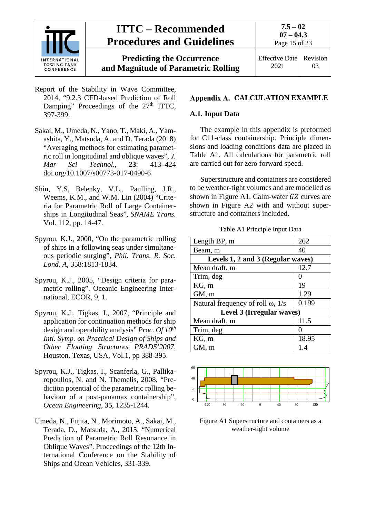

**Predicting the Occurrence and Magnitude of Parametric Rolling**

**7.5 – 02 07 – 04.3**

Effective Date 2021 Revision 03

- Report of the Stability in Wave Committee, 2014, "9.2.3 CFD-based Prediction of Roll Damping" Proceedings of the  $27<sup>th</sup>$  ITTC, 397-399.
- Sakai, M., Umeda, N., Yano, T., Maki, A., Yamashita, Y., Matsuda, A. and D. Terada (2018) "Averaging methods for estimating parametric roll in longitudinal and oblique waves", *J. Mar Sci Technol.*, **23**: 413–424 doi.org/10.1007/s00773-017-0490-6
- Shin, Y.S, Belenky, V.L., Paulling, J.R., Weems, K.M., and W.M. Lin (2004) "Criteria for Parametric Roll of Large Containerships in Longitudinal Seas", *SNAME Trans.* Vol. 112, pp. 14-47.
- Spyrou, K.J., 2000, "On the parametric rolling of ships in a following seas under simultaneous periodic surging", *Phil*. *Trans*. *R. Soc. Lond. A,* 358:1813-1834.
- Spyrou, K.J., 2005, "Design criteria for parametric rolling". Oceanic Engineering International, ECOR, 9, 1.
- Spyrou, K.J., Tigkas, I., 2007, "Principle and application for continuation methods for ship design and operability analysis" *Proc. Of 10th Intl. Symp. on Practical Design of Ships and Other Floating Structures PRADS'2007*, Houston. Texas, USA, Vol.1, pp 388-395.
- Spyrou, K.J., Tigkas, I., Scanferla, G., Pallikaropoullos, N. and N. Themelis, 2008, "Prediction potential of the parametric rolling behaviour of a post-panamax containership", *Ocean Engineering*, **35**, 1235-1244.
- Umeda, N., Fujita, N., Morimoto, A., Sakai, M., Terada, D., Matsuda, A., 2015, "Numerical Prediction of Parametric Roll Resonance in Oblique Waves". Proceedings of the 12th International Conference on the Stability of Ships and Ocean Vehicles, 331-339.

## <span id="page-14-1"></span><span id="page-14-0"></span>**Appendix A. CALCULATION EXAMPLE**

#### **A.1. Input Data**

The example in this appendix is preformed for C11-class containership. Principle dimensions and loading conditions data are placed in Table A1. All calculations for parametric roll are carried out for zero forward speed.

Superstructure and containers are considered to be weather-tight volumes and are modelled as shown in Figure A1. Calm-water  $\overline{GZ}$  curves are shown in Figure A2 with and without superstructure and containers included.

Table A1 Principle Input Data

| Length BP, m                             | 262   |  |  |  |
|------------------------------------------|-------|--|--|--|
| Beam, m                                  | 40    |  |  |  |
| Levels 1, 2 and 3 (Regular waves)        |       |  |  |  |
| Mean draft, m                            | 12.7  |  |  |  |
| Trim, deg                                | 0     |  |  |  |
| KG, m                                    | 19    |  |  |  |
| GM, m                                    | 1.29  |  |  |  |
| Natural frequency of roll $\omega$ , 1/s | 0.199 |  |  |  |
| Level 3 (Irregular waves)                |       |  |  |  |
| Mean draft, m                            | 11.5  |  |  |  |
| Trim, deg                                |       |  |  |  |
| KG, m                                    | 18.95 |  |  |  |
| GM, m                                    | 1.4   |  |  |  |



Figure A1 Superstructure and containers as a weather-tight volume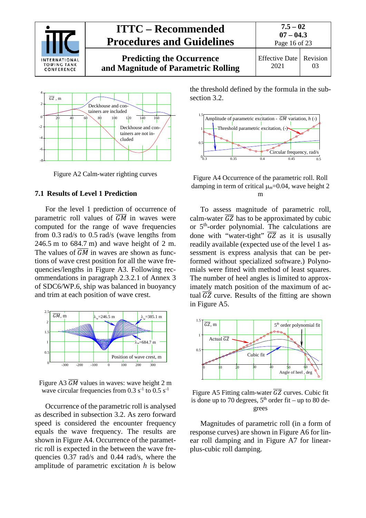



Figure A2 Calm-water righting curves

### <span id="page-15-0"></span>**7.1 Results of Level 1 Prediction**

For the level 1 prediction of occurrence of parametric roll values of  $\overline{GM}$  in waves were computed for the range of wave frequencies from 0.3 rad/s to 0.5 rad/s (wave lengths from 246.5 m to 684.7 m) and wave height of 2 m. The values of  $\overline{GM}$  in waves are shown as functions of wave crest position for all the wave frequencies/lengths in Figure A3. Following recommendations in paragraph 2.3.2.1 of Annex 3 of SDC6/WP.6, ship was balanced in buoyancy and trim at each position of wave crest.



Figure A3  $\overline{GM}$  values in waves: wave height 2 m wave circular frequencies from  $0.3 s^{-1}$  to  $0.5 s^{-1}$ 

Occurrence of the parametric roll is analysed as described in subsection 3.2. As zero forward speed is considered the encounter frequency equals the wave frequency. The results are shown in Figure A4. Occurrence of the parametric roll is expected in the between the wave frequencies 0.37 rad/s and 0.44 rad/s, where the amplitude of parametric excitation *h* is below

the threshold defined by the formula in the subsection 3.2.



Figure A4 Occurrence of the parametric roll. Roll damping in term of critical µ*m*=0.04, wave height 2 m

To assess magnitude of parametric roll, calm-water  $\overline{GZ}$  has to be approximated by cubic or 5th-order polynomial. The calculations are done with "water-tight"  $\overline{GZ}$  as it is ususally readily available (expected use of the level 1 assessment is express analysis that can be performed without specialized software.) Polynomials were fitted with method of least squares. The number of heel angles is limited to approximately match position of the maximum of actual  $\overline{GZ}$  curve. Results of the fitting are shown in Figure A5.



Figure A5 Fitting calm-water  $\overline{GZ}$  curves. Cubic fit is done up to 70 degrees,  $5<sup>th</sup>$  order fit – up to 80 degrees

Magnitudes of parametric roll (in a form of response curves) are shown in Figure A6 for linear roll damping and in Figure A7 for linearplus-cubic roll damping.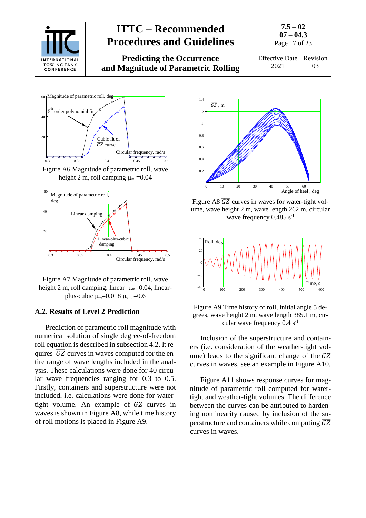



Figure A6 Magnitude of parametric roll, wave height 2 m, roll damping  $\mu_m = 0.04$ 





#### <span id="page-16-0"></span>**A.2. Results of Level 2 Prediction**

Prediction of parametric roll magnitude with numerical solution of single degree-of-freedom roll equation is described in subsection 4.2. It requires  $\overline{GZ}$  curves in waves computed for the entire range of wave lengths included in the analysis. These calculations were done for 40 circular wave frequencies ranging for 0.3 to 0.5. Firstly, containers and superstructure were not included, i.e. calculations were done for watertight volume. An example of  $\overline{GZ}$  curves in waves is shown in Figure A8, while time history of roll motions is placed in Figure A9.



Figure A8  $\overline{GZ}$  curves in waves for water-tight volume, wave height 2 m, wave length 262 m, circular wave frequency  $0.485$  s<sup>-1</sup>



Figure A9 Time history of roll, initial angle 5 degrees, wave height 2 m, wave length 385.1 m, circular wave frequency  $0.4 s^{-1}$ 

Inclusion of the superstructure and containers (i.e. consideration of the weather-tight volume) leads to the significant change of the  $\overline{GZ}$ curves in waves, see an example in Figure A10.

Figure A11 shows response curves for magnitude of parametric roll computed for watertight and weather-tight volumes. The difference between the curves can be attributed to hardening nonlinearity caused by inclusion of the superstructure and containers while computing  $\overline{GZ}$ curves in waves.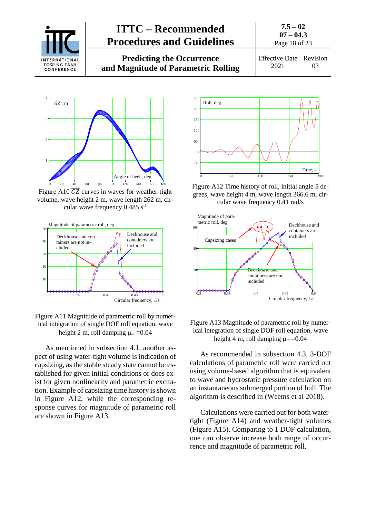

**Predicting the Occurrence and Magnitude of Parametric Rolling**





Figure A10  $\overline{GZ}$  curves in waves for weather-tight volume, wave height 2 m, wave length 262 m, circular wave frequency  $0.485$  s<sup>-1</sup>



Figure A11 Magnitude of parametric roll by numerical integration of single DOF roll equation, wave height 2 m, roll damping  $\mu_m = 0.04$ 

As mentioned in subsection 4.1, another aspect of using water-tight volume is indication of capsizing, as the stable steady state cannot be established for given initial conditions or does exist for given nonlinearity and parametric excitation. Example of capsizing time history is shown in Figure A12, while the corresponding response curves for magnitude of parametric roll are shown in Figure A13.



Figure A12 Time history of roll, initial angle 5 degrees, wave height 4 m, wave length 366.6 m, circular wave frequency 0.41 rad/s





As recommended in subsection 4.3, 3-DOF calculations of parametric roll were carried out using volume-based algorithm that is equivalent to wave and hydrostatic pressure calculation on an instantaneous submerged portion of hull. The algorithm is described in (Weems et al 2018).

Calculations were carried out for both watertight (Figure A14) and weather-tight volumes (Figure A15). Comparing to 1 DOF calculation, one can observe increase both range of occurrence and magnitude of parametric roll.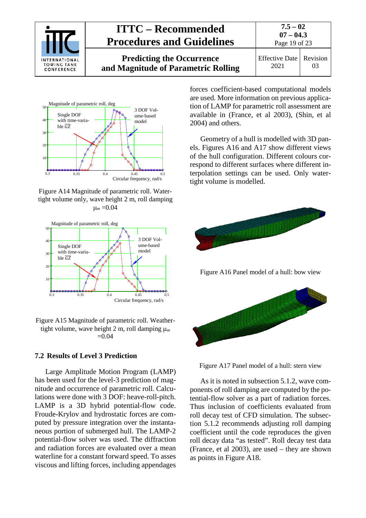



Figure A14 Magnitude of parametric roll. Watertight volume only, wave height 2 m, roll damping  $\mu_m = 0.04$ 



Figure A15 Magnitude of parametric roll. Weathertight volume, wave height 2 m, roll damping µ*<sup>m</sup>*  $=0.04$ 

#### <span id="page-18-0"></span>**7.2 Results of Level 3 Prediction**

Large Amplitude Motion Program (LAMP) has been used for the level-3 prediction of magnitude and occurrence of parametric roll. Calculations were done with 3 DOF: heave-roll-pitch. LAMP is a 3D hybrid potential-flow code. Froude-Krylov and hydrostatic forces are computed by pressure integration over the instantaneous portion of submerged hull. The LAMP-2 potential-flow solver was used. The diffraction and radiation forces are evaluated over a mean waterline for a constant forward speed. To asses viscous and lifting forces, including appendages

forces coefficient-based computational models are used. More information on previous application of LAMP for parametric roll assessment are available in (France, et al 2003), (Shin, et al 2004) and others.

Geometry of a hull is modelled with 3D panels. Figures A16 and A17 show different views of the hull configuration. Different colours correspond to different surfaces where different interpolation settings can be used. Only watertight volume is modelled.





As it is noted in subsection 5.1.2, wave components of roll damping are computed by the potential-flow solver as a part of radiation forces. Thus inclusion of coefficients evaluated from roll decay test of CFD simulation. The subsection 5.1.2 recommends adjusting roll damping coefficient until the code reproduces the given roll decay data "as tested". Roll decay test data (France, et al 2003), are used – they are shown as points in Figure A18.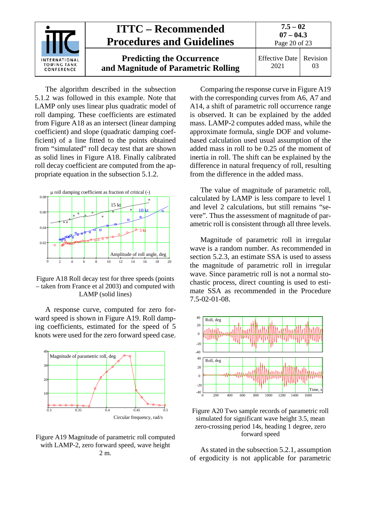

The algorithm described in the subsection 5.1.2 was followed in this example. Note that LAMP only uses linear plus quadratic model of roll damping. These coefficients are estimated from Figure A18 as an intersect (linear damping coefficient) and slope (quadratic damping coefficient) of a line fitted to the points obtained from "simulated" roll decay test that are shown as solid lines in Figure A18. Finally calibrated roll decay coefficient are computed from the appropriate equation in the subsection 5.1.2.



Figure A18 Roll decay test for three speeds (points – taken from France et al 2003) and computed with LAMP (solid lines)

A response curve, computed for zero forward speed is shown in Figure A19. Roll damping coefficients, estimated for the speed of 5 knots were used for the zero forward speed case.



Figure A19 Magnitude of parametric roll computed with LAMP-2, zero forward speed, wave height 2 m.

Comparing the response curve in Figure A19 with the corresponding curves from A6, A7 and A14, a shift of parametric roll occurrence range is observed. It can be explained by the added mass. LAMP-2 computes added mass, while the approximate formula, single DOF and volumebased calculation used usual assumption of the added mass in roll to be 0.25 of the moment of inertia in roll. The shift can be explained by the difference in natural frequency of roll, resulting from the difference in the added mass.

The value of magnitude of parametric roll, calculated by LAMP is less compare to level 1 and level 2 calculations, but still remains "severe". Thus the assessment of magnitude of parametric roll is consistent through all three levels.

Magnitude of parametric roll in irregular wave is a random number. As recommended in section 5.2.3, an estimate SSA is used to assess the magnitude of parametric roll in irregular wave. Since parametric roll is not a normal stochastic process, direct counting is used to estimate SSA as recommended in the Procedure 7.5-02-01-08.



Figure A20 Two sample records of parametric roll simulated for significant wave height 3.5, mean zero-crossing period 14s, heading 1 degree, zero forward speed

As stated in the subsection 5.2.1, assumption of ergodicity is not applicable for parametric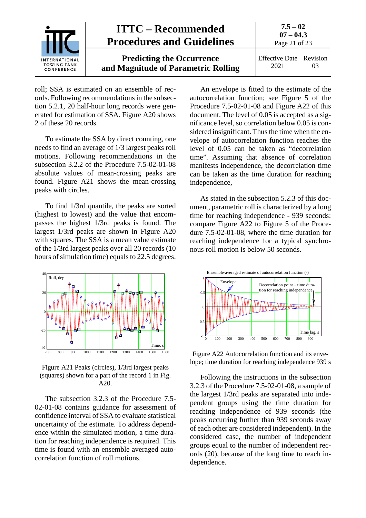

roll; SSA is estimated on an ensemble of records. Following recommendations in the subsection 5.2.1, 20 half-hour long records were generated for estimation of SSA. Figure A20 shows 2 of these 20 records.

To estimate the SSA by direct counting, one needs to find an average of 1/3 largest peaks roll motions. Following recommendations in the subsection 3.2.2 of the Procedure 7.5-02-01-08 absolute values of mean-crossing peaks are found. Figure A21 shows the mean-crossing peaks with circles.

To find 1/3rd quantile, the peaks are sorted (highest to lowest) and the value that encompasses the highest 1/3rd peaks is found. The largest 1/3rd peaks are shown in Figure A20 with squares. The SSA is a mean value estimate of the 1/3rd largest peaks over all 20 records (10 hours of simulation time) equals to 22.5 degrees.



Figure A21 Peaks (circles), 1/3rd largest peaks (squares) shown for a part of the record 1 in Fig. A20.

The subsection 3.2.3 of the Procedure 7.5- 02-01-08 contains guidance for assessment of confidence interval of SSA to evaluate statistical uncertainty of the estimate. To address dependence within the simulated motion, a time duration for reaching independence is required. This time is found with an ensemble averaged autocorrelation function of roll motions.

An envelope is fitted to the estimate of the autocorrelation function; see Figure 5 of the Procedure 7.5-02-01-08 and Figure A22 of this document. The level of 0.05 is accepted as a significance level, so correlation below 0.05 is considered insignificant. Thus the time when the envelope of autocorrelation function reaches the level of 0.05 can be taken as "decorrelation time". Assuming that absence of correlation manifests independence, the decorrelation time can be taken as the time duration for reaching independence,

As stated in the subsection 5.2.3 of this document, parametric roll is characterized by a long time for reaching independence - 939 seconds: compare Figure A22 to Figure 5 of the Procedure 7.5-02-01-08, where the time duration for reaching independence for a typical synchronous roll motion is below 50 seconds.



Figure A22 Autocorrelation function and its envelope; time duration for reaching independence 939 s

Following the instructions in the subsection 3.2.3 of the Procedure 7.5-02-01-08, a sample of the largest 1/3rd peaks are separated into independent groups using the time duration for reaching independence of 939 seconds (the peaks occurring further than 939 seconds away of each other are considered independent). In the considered case, the number of independent groups equal to the number of independent records (20), because of the long time to reach independence.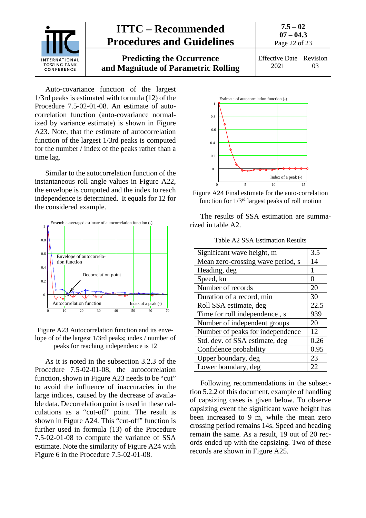

Auto-covariance function of the largest 1/3rd peaks is estimated with formula (12) of the Procedure 7.5-02-01-08. An estimate of autocorrelation function (auto-covariance normalized by variance estimate) is shown in Figure A23. Note, that the estimate of autocorrelation function of the largest 1/3rd peaks is computed for the number / index of the peaks rather than a time lag.

Similar to the autocorrelation function of the instantaneous roll angle values in Figure A22, the envelope is computed and the index to reach independence is determined. It equals for 12 for the considered example.



Figure A23 Autocorrelation function and its envelope of of the largest 1/3rd peaks; index / number of peaks for reaching independence is 12

As it is noted in the subsection 3.2.3 of the Procedure 7.5-02-01-08, the autocorrelation function, shown in Figure A23 needs to be "cut" to avoid the influence of inaccuracies in the large indices, caused by the decrease of available data. Decorrelation point is used in these calculations as a "cut-off" point. The result is shown in Figure A24. This "cut-off" function is further used in formula (13) of the Procedure 7.5-02-01-08 to compute the variance of SSA estimate. Note the similarity of Figure A24 with Figure 6 in the Procedure 7.5-02-01-08.





The results of SSA estimation are summarized in table A2.

Table A2 SSA Estimation Results

| Significant wave height, m        | 3.5  |  |
|-----------------------------------|------|--|
| Mean zero-crossing wave period, s | 14   |  |
| Heading, deg                      |      |  |
| Speed, kn                         |      |  |
| Number of records                 | 20   |  |
| Duration of a record, min         |      |  |
| Roll SSA estimate, deg            |      |  |
| Time for roll independence, s     |      |  |
| Number of independent groups      |      |  |
| Number of peaks for independence  |      |  |
| Std. dev. of SSA estimate, deg    | 0.26 |  |
| Confidence probability            | 0.95 |  |
| Upper boundary, deg               | 23   |  |
| Lower boundary, deg               | 22   |  |

Following recommendations in the subsection 5.2.2 of this document, example of handling of capsizing cases is given below. To observe capsizing event the significant wave height has been increased to 9 m, while the mean zero crossing period remains 14s. Speed and heading remain the same. As a result, 19 out of 20 records ended up with the capsizing. Two of these records are shown in Figure A25.